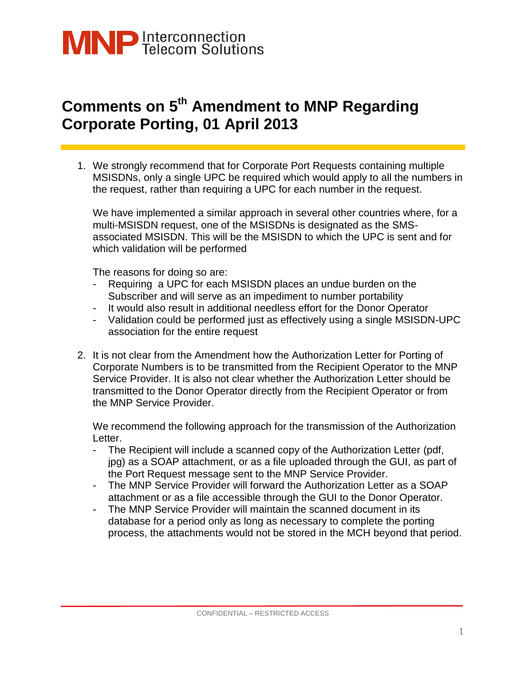

## **Comments on 5th Amendment to MNP Regarding Corporate Porting, 01 April 2013**

1. We strongly recommend that for Corporate Port Requests containing multiple MSISDNs, only a single UPC be required which would apply to all the numbers in the request, rather than requiring a UPC for each number in the request.

We have implemented a similar approach in several other countries where, for a multi-MSISDN request, one of the MSISDNs is designated as the SMSassociated MSISDN. This will be the MSISDN to which the UPC is sent and for which validation will be performed

The reasons for doing so are:

- Requiring a UPC for each MSISDN places an undue burden on the Subscriber and will serve as an impediment to number portability
- It would also result in additional needless effort for the Donor Operator
- Validation could be performed just as effectively using a single MSISDN-UPC association for the entire request
- 2. It is not clear from the Amendment how the Authorization Letter for Porting of Corporate Numbers is to be transmitted from the Recipient Operator to the MNP Service Provider. It is also not clear whether the Authorization Letter should be transmitted to the Donor Operator directly from the Recipient Operator or from the MNP Service Provider.

We recommend the following approach for the transmission of the Authorization Letter.

- The Recipient will include a scanned copy of the Authorization Letter (pdf, jpg) as a SOAP attachment, or as a file uploaded through the GUI, as part of the Port Request message sent to the MNP Service Provider.
- The MNP Service Provider will forward the Authorization Letter as a SOAP attachment or as a file accessible through the GUI to the Donor Operator.
- The MNP Service Provider will maintain the scanned document in its database for a period only as long as necessary to complete the porting process, the attachments would not be stored in the MCH beyond that period.